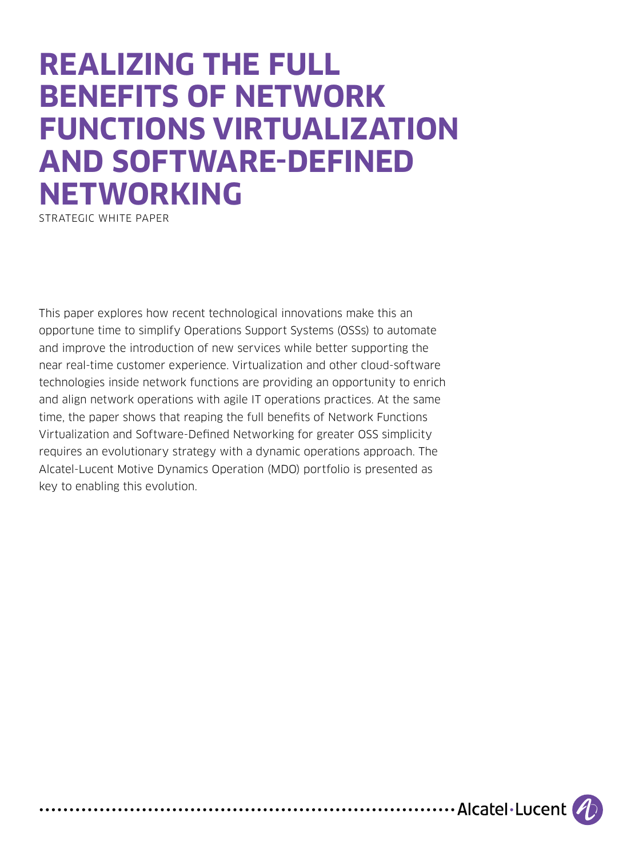# **REALIZING THE FULL BENEFITS OF NETWORK FUNCTIONS VIRTUALIZATION AND SOFTWARE-DEFINED NETWORKING**

STRATEGIC WHITE PAPER

This paper explores how recent technological innovations make this an opportune time to simplify Operations Support Systems (OSSs) to automate and improve the introduction of new services while better supporting the near real-time customer experience. Virtualization and other cloud-software technologies inside network functions are providing an opportunity to enrich and align network operations with agile IT operations practices. At the same time, the paper shows that reaping the full benefits of Network Functions Virtualization and Software-Defined Networking for greater OSS simplicity requires an evolutionary strategy with a dynamic operations approach. The Alcatel-Lucent Motive Dynamics Operation (MDO) portfolio is presented as key to enabling this evolution.

....................Alcatel.Lucent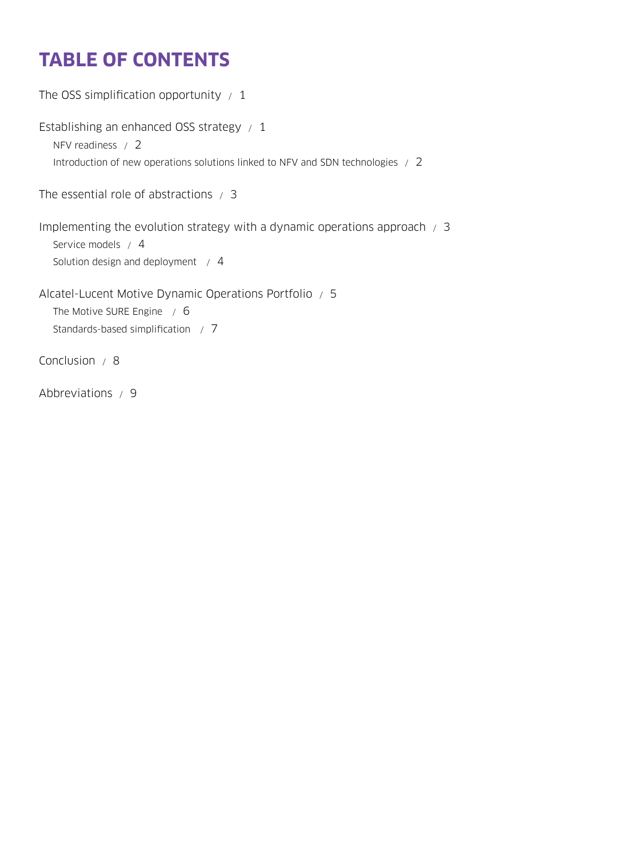# **TABLE OF CONTENTS**

```
The OSS simplification opportunity /1Establishing an enhanced OSS strategy / 1
  NFV readiness / 2
  Introduction of new operations solutions linked to NFV and SDN technologies / 2
The essential role of abstractions / 3
Implementing the evolution strategy with a dynamic operations approach / 3
  Service models / 4
  Solution design and deployment / 4
Alcatel-Lucent Motive Dynamic Operations Portfolio / 5
  The Motive SURE Engine / 6
  Standards-based simplification / 7
Conclusion / 8
```
[Abbreviations / 9](#page-10-0)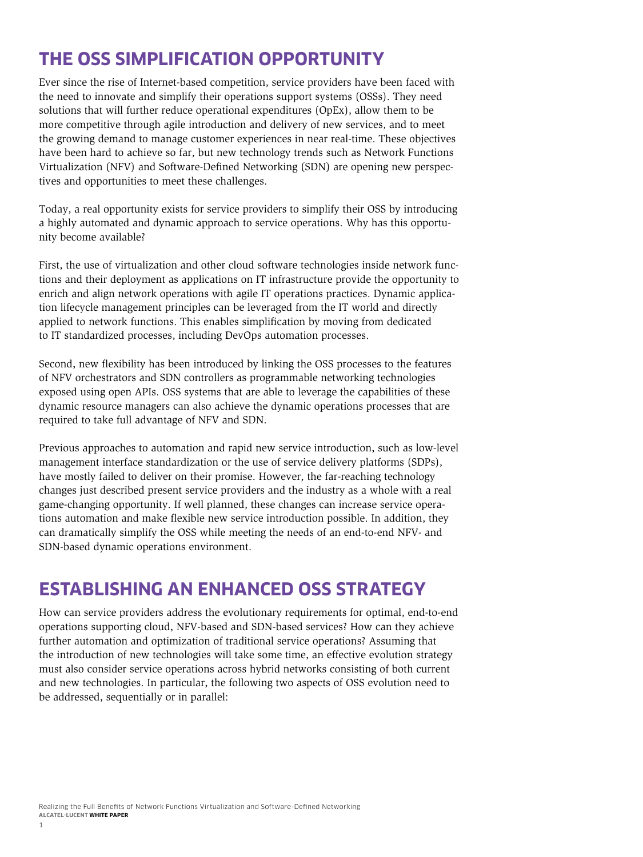### <span id="page-2-0"></span>**THE OSS SIMPLIFICATION OPPORTUNITY**

Ever since the rise of Internet-based competition, service providers have been faced with the need to innovate and simplify their operations support systems (OSSs). They need solutions that will further reduce operational expenditures (OpEx), allow them to be more competitive through agile introduction and delivery of new services, and to meet the growing demand to manage customer experiences in near real-time. These objectives have been hard to achieve so far, but new technology trends such as Network Functions Virtualization (NFV) and Software-Defined Networking (SDN) are opening new perspectives and opportunities to meet these challenges.

Today, a real opportunity exists for service providers to simplify their OSS by introducing a highly automated and dynamic approach to service operations. Why has this opportunity become available?

First, the use of virtualization and other cloud software technologies inside network functions and their deployment as applications on IT infrastructure provide the opportunity to enrich and align network operations with agile IT operations practices. Dynamic application lifecycle management principles can be leveraged from the IT world and directly applied to network functions. This enables simplification by moving from dedicated to IT standardized processes, including DevOps automation processes.

Second, new flexibility has been introduced by linking the OSS processes to the features of NFV orchestrators and SDN controllers as programmable networking technologies exposed using open APIs. OSS systems that are able to leverage the capabilities of these dynamic resource managers can also achieve the dynamic operations processes that are required to take full advantage of NFV and SDN.

Previous approaches to automation and rapid new service introduction, such as low-level management interface standardization or the use of service delivery platforms (SDPs), have mostly failed to deliver on their promise. However, the far-reaching technology changes just described present service providers and the industry as a whole with a real game-changing opportunity. If well planned, these changes can increase service operations automation and make flexible new service introduction possible. In addition, they can dramatically simplify the OSS while meeting the needs of an end-to-end NFV- and SDN-based dynamic operations environment.

### **ESTABLISHING AN ENHANCED OSS STRATEGY**

How can service providers address the evolutionary requirements for optimal, end-to-end operations supporting cloud, NFV-based and SDN-based services? How can they achieve further automation and optimization of traditional service operations? Assuming that the introduction of new technologies will take some time, an effective evolution strategy must also consider service operations across hybrid networks consisting of both current and new technologies. In particular, the following two aspects of OSS evolution need to be addressed, sequentially or in parallel: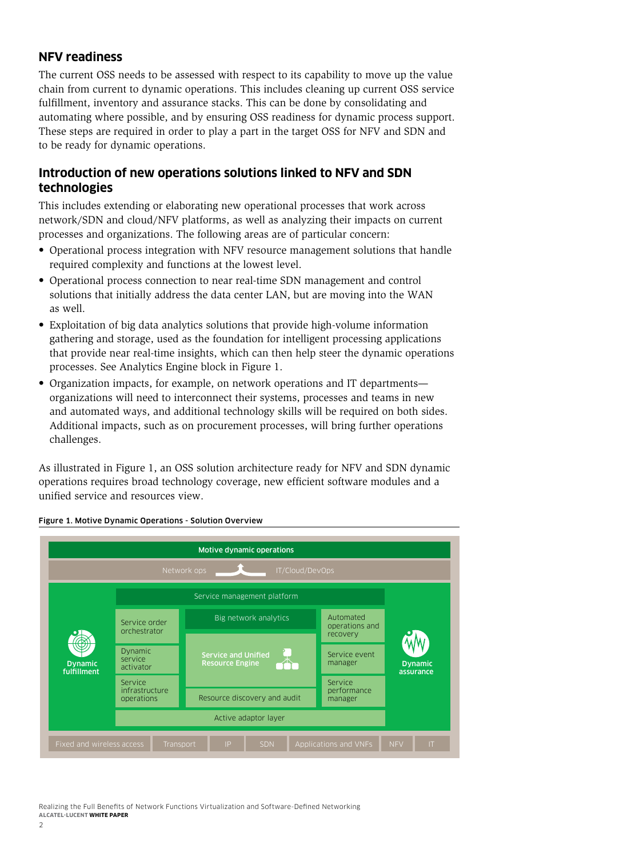#### <span id="page-3-0"></span>**NFV readiness**

The current OSS needs to be assessed with respect to its capability to move up the value chain from current to dynamic operations. This includes cleaning up current OSS service fulfillment, inventory and assurance stacks. This can be done by consolidating and automating where possible, and by ensuring OSS readiness for dynamic process support. These steps are required in order to play a part in the target OSS for NFV and SDN and to be ready for dynamic operations.

#### **Introduction of new operations solutions linked to NFV and SDN technologies**

This includes extending or elaborating new operational processes that work across network/SDN and cloud/NFV platforms, as well as analyzing their impacts on current processes and organizations. The following areas are of particular concern:

- Operational process integration with NFV resource management solutions that handle required complexity and functions at the lowest level.
- Operational process connection to near real-time SDN management and control solutions that initially address the data center LAN, but are moving into the WAN as well.
- Exploitation of big data analytics solutions that provide high-volume information gathering and storage, used as the foundation for intelligent processing applications that provide near real-time insights, which can then help steer the dynamic operations processes. See Analytics Engine block in Figure 1.
- Organization impacts, for example, on network operations and IT departments organizations will need to interconnect their systems, processes and teams in new and automated ways, and additional technology skills will be required on both sides. Additional impacts, such as on procurement processes, will bring further operations challenges.

As illustrated in Figure 1, an OSS solution architecture ready for NFV and SDN dynamic operations requires broad technology coverage, new efficient software modules and a unified service and resources view.



#### Figure 1. Motive Dynamic Operations - Solution Overview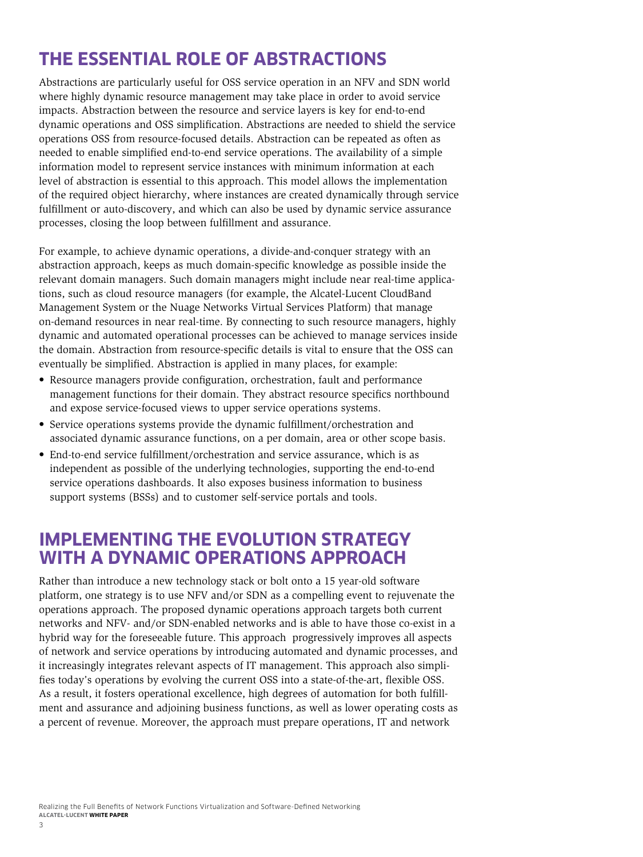### <span id="page-4-0"></span>**THE ESSENTIAL ROLE OF ABSTRACTIONS**

Abstractions are particularly useful for OSS service operation in an NFV and SDN world where highly dynamic resource management may take place in order to avoid service impacts. Abstraction between the resource and service layers is key for end-to-end dynamic operations and OSS simplification. Abstractions are needed to shield the service operations OSS from resource-focused details. Abstraction can be repeated as often as needed to enable simplified end-to-end service operations. The availability of a simple information model to represent service instances with minimum information at each level of abstraction is essential to this approach. This model allows the implementation of the required object hierarchy, where instances are created dynamically through service fulfillment or auto-discovery, and which can also be used by dynamic service assurance processes, closing the loop between fulfillment and assurance.

For example, to achieve dynamic operations, a divide-and-conquer strategy with an abstraction approach, keeps as much domain-specific knowledge as possible inside the relevant domain managers. Such domain managers might include near real-time applications, such as cloud resource managers (for example, the Alcatel-Lucent CloudBand Management System or the Nuage Networks Virtual Services Platform) that manage on-demand resources in near real-time. By connecting to such resource managers, highly dynamic and automated operational processes can be achieved to manage services inside the domain. Abstraction from resource-specific details is vital to ensure that the OSS can eventually be simplified. Abstraction is applied in many places, for example:

- Resource managers provide configuration, orchestration, fault and performance management functions for their domain. They abstract resource specifics northbound and expose service-focused views to upper service operations systems.
- Service operations systems provide the dynamic fulfillment/orchestration and associated dynamic assurance functions, on a per domain, area or other scope basis.
- End-to-end service fulfillment/orchestration and service assurance, which is as independent as possible of the underlying technologies, supporting the end-to-end service operations dashboards. It also exposes business information to business support systems (BSSs) and to customer self-service portals and tools.

### **IMPLEMENTING THE EVOLUTION STRATEGY WITH A DYNAMIC OPERATIONS APPROACH**

Rather than introduce a new technology stack or bolt onto a 15 year-old software platform, one strategy is to use NFV and/or SDN as a compelling event to rejuvenate the operations approach. The proposed dynamic operations approach targets both current networks and NFV- and/or SDN-enabled networks and is able to have those co-exist in a hybrid way for the foreseeable future. This approach progressively improves all aspects of network and service operations by introducing automated and dynamic processes, and it increasingly integrates relevant aspects of IT management. This approach also simplifies today's operations by evolving the current OSS into a state-of-the-art, flexible OSS. As a result, it fosters operational excellence, high degrees of automation for both fulfillment and assurance and adjoining business functions, as well as lower operating costs as a percent of revenue. Moreover, the approach must prepare operations, IT and network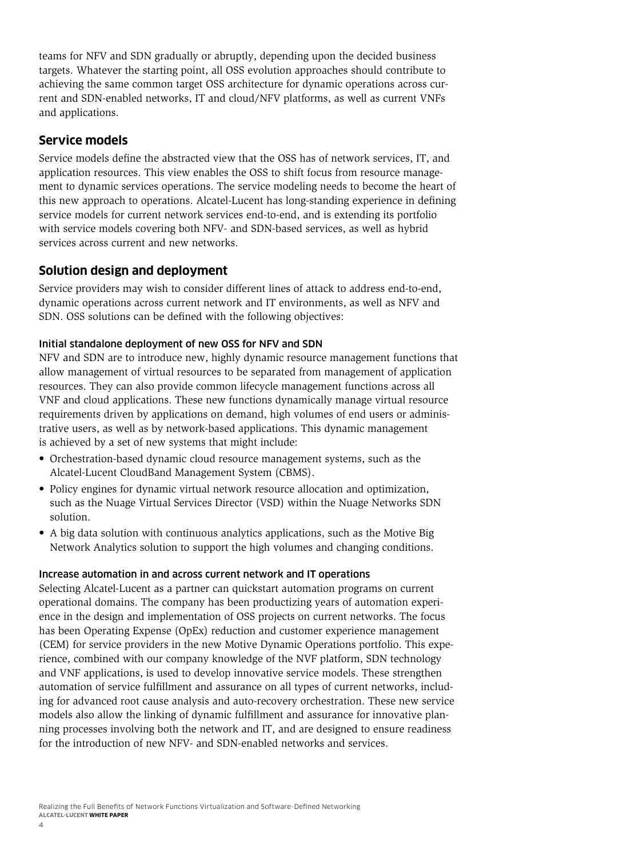<span id="page-5-0"></span>teams for NFV and SDN gradually or abruptly, depending upon the decided business targets. Whatever the starting point, all OSS evolution approaches should contribute to achieving the same common target OSS architecture for dynamic operations across current and SDN-enabled networks, IT and cloud/NFV platforms, as well as current VNFs and applications.

#### **Service models**

Service models define the abstracted view that the OSS has of network services, IT, and application resources. This view enables the OSS to shift focus from resource management to dynamic services operations. The service modeling needs to become the heart of this new approach to operations. Alcatel-Lucent has long-standing experience in defining service models for current network services end-to-end, and is extending its portfolio with service models covering both NFV- and SDN-based services, as well as hybrid services across current and new networks.

#### **Solution design and deployment**

Service providers may wish to consider different lines of attack to address end-to-end, dynamic operations across current network and IT environments, as well as NFV and SDN. OSS solutions can be defined with the following objectives:

#### Initial standalone deployment of new OSS for NFV and SDN

NFV and SDN are to introduce new, highly dynamic resource management functions that allow management of virtual resources to be separated from management of application resources. They can also provide common lifecycle management functions across all VNF and cloud applications. These new functions dynamically manage virtual resource requirements driven by applications on demand, high volumes of end users or administrative users, as well as by network-based applications. This dynamic management is achieved by a set of new systems that might include:

- Orchestration-based dynamic cloud resource management systems, such as the Alcatel-Lucent CloudBand Management System (CBMS).
- Policy engines for dynamic virtual network resource allocation and optimization, such as the Nuage Virtual Services Director (VSD) within the Nuage Networks SDN solution.
- A big data solution with continuous analytics applications, such as the Motive Big Network Analytics solution to support the high volumes and changing conditions.

#### Increase automation in and across current network and IT operations

Selecting Alcatel-Lucent as a partner can quickstart automation programs on current operational domains. The company has been productizing years of automation experience in the design and implementation of OSS projects on current networks. The focus has been Operating Expense (OpEx) reduction and customer experience management (CEM) for service providers in the new Motive Dynamic Operations portfolio. This experience, combined with our company knowledge of the NVF platform, SDN technology and VNF applications, is used to develop innovative service models. These strengthen automation of service fulfillment and assurance on all types of current networks, including for advanced root cause analysis and auto-recovery orchestration. These new service models also allow the linking of dynamic fulfillment and assurance for innovative planning processes involving both the network and IT, and are designed to ensure readiness for the introduction of new NFV- and SDN-enabled networks and services.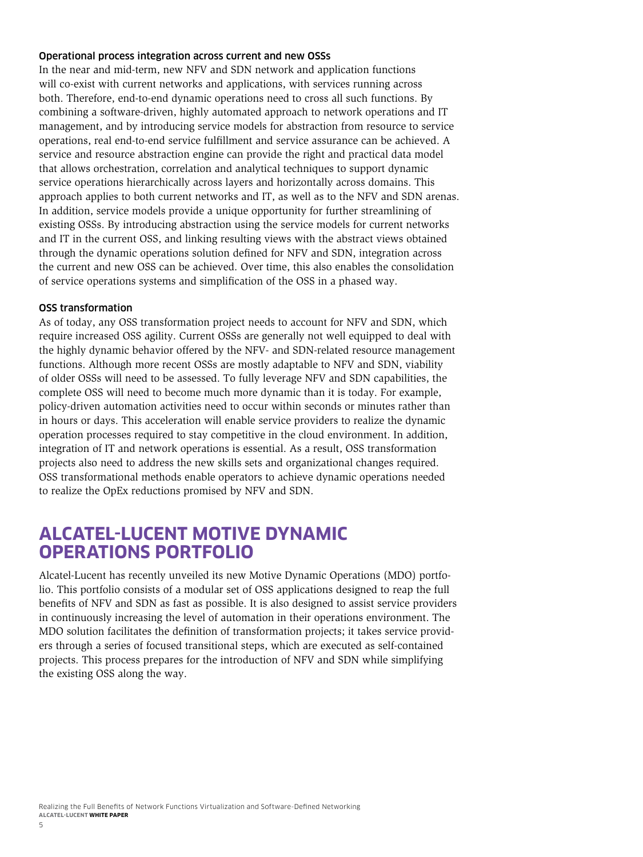#### <span id="page-6-0"></span>Operational process integration across current and new OSSs

In the near and mid-term, new NFV and SDN network and application functions will co-exist with current networks and applications, with services running across both. Therefore, end-to-end dynamic operations need to cross all such functions. By combining a software-driven, highly automated approach to network operations and IT management, and by introducing service models for abstraction from resource to service operations, real end-to-end service fulfillment and service assurance can be achieved. A service and resource abstraction engine can provide the right and practical data model that allows orchestration, correlation and analytical techniques to support dynamic service operations hierarchically across layers and horizontally across domains. This approach applies to both current networks and IT, as well as to the NFV and SDN arenas. In addition, service models provide a unique opportunity for further streamlining of existing OSSs. By introducing abstraction using the service models for current networks and IT in the current OSS, and linking resulting views with the abstract views obtained through the dynamic operations solution defined for NFV and SDN, integration across the current and new OSS can be achieved. Over time, this also enables the consolidation of service operations systems and simplification of the OSS in a phased way.

#### OSS transformation

As of today, any OSS transformation project needs to account for NFV and SDN, which require increased OSS agility. Current OSSs are generally not well equipped to deal with the highly dynamic behavior offered by the NFV- and SDN-related resource management functions. Although more recent OSSs are mostly adaptable to NFV and SDN, viability of older OSSs will need to be assessed. To fully leverage NFV and SDN capabilities, the complete OSS will need to become much more dynamic than it is today. For example, policy-driven automation activities need to occur within seconds or minutes rather than in hours or days. This acceleration will enable service providers to realize the dynamic operation processes required to stay competitive in the cloud environment. In addition, integration of IT and network operations is essential. As a result, OSS transformation projects also need to address the new skills sets and organizational changes required. OSS transformational methods enable operators to achieve dynamic operations needed to realize the OpEx reductions promised by NFV and SDN.

### **ALCATEL-LUCENT MOTIVE DYNAMIC OPERATIONS PORTFOLIO**

Alcatel-Lucent has recently unveiled its new Motive Dynamic Operations (MDO) portfolio. This portfolio consists of a modular set of OSS applications designed to reap the full benefits of NFV and SDN as fast as possible. It is also designed to assist service providers in continuously increasing the level of automation in their operations environment. The MDO solution facilitates the definition of transformation projects; it takes service providers through a series of focused transitional steps, which are executed as self-contained projects. This process prepares for the introduction of NFV and SDN while simplifying the existing OSS along the way.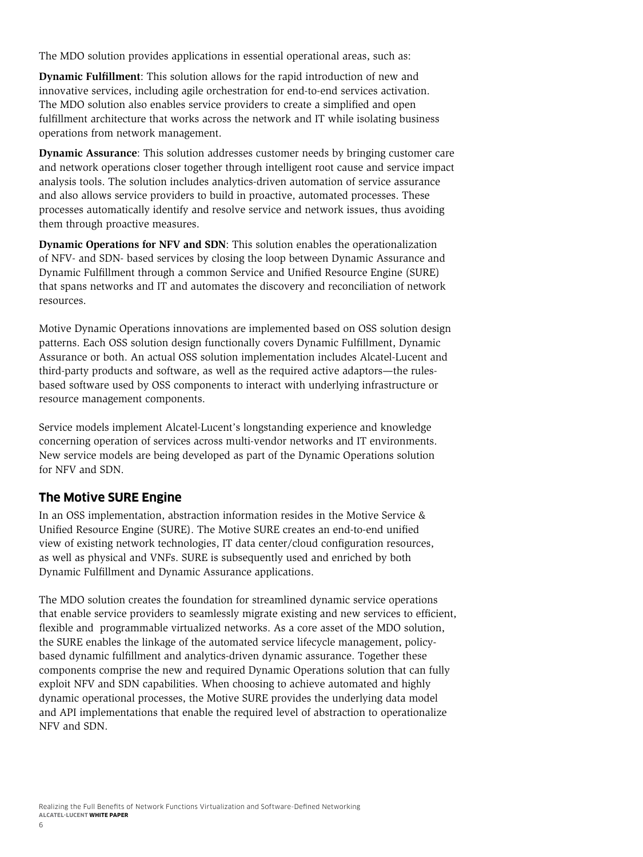<span id="page-7-0"></span>The MDO solution provides applications in essential operational areas, such as:

**Dynamic Fulfillment**: This solution allows for the rapid introduction of new and innovative services, including agile orchestration for end-to-end services activation. The MDO solution also enables service providers to create a simplified and open fulfillment architecture that works across the network and IT while isolating business operations from network management.

**Dynamic Assurance**: This solution addresses customer needs by bringing customer care and network operations closer together through intelligent root cause and service impact analysis tools. The solution includes analytics-driven automation of service assurance and also allows service providers to build in proactive, automated processes. These processes automatically identify and resolve service and network issues, thus avoiding them through proactive measures.

**Dynamic Operations for NFV and SDN**: This solution enables the operationalization of NFV- and SDN- based services by closing the loop between Dynamic Assurance and Dynamic Fulfillment through a common Service and Unified Resource Engine (SURE) that spans networks and IT and automates the discovery and reconciliation of network resources.

Motive Dynamic Operations innovations are implemented based on OSS solution design patterns. Each OSS solution design functionally covers Dynamic Fulfillment, Dynamic Assurance or both. An actual OSS solution implementation includes Alcatel-Lucent and third-party products and software, as well as the required active adaptors—the rulesbased software used by OSS components to interact with underlying infrastructure or resource management components.

Service models implement Alcatel-Lucent's longstanding experience and knowledge concerning operation of services across multi-vendor networks and IT environments. New service models are being developed as part of the Dynamic Operations solution for NFV and SDN.

#### **The Motive SURE Engine**

In an OSS implementation, abstraction information resides in the Motive Service & Unified Resource Engine (SURE). The Motive SURE creates an end-to-end unified view of existing network technologies, IT data center/cloud configuration resources, as well as physical and VNFs. SURE is subsequently used and enriched by both Dynamic Fulfillment and Dynamic Assurance applications.

The MDO solution creates the foundation for streamlined dynamic service operations that enable service providers to seamlessly migrate existing and new services to efficient, flexible and programmable virtualized networks. As a core asset of the MDO solution, the SURE enables the linkage of the automated service lifecycle management, policybased dynamic fulfillment and analytics-driven dynamic assurance. Together these components comprise the new and required Dynamic Operations solution that can fully exploit NFV and SDN capabilities. When choosing to achieve automated and highly dynamic operational processes, the Motive SURE provides the underlying data model and API implementations that enable the required level of abstraction to operationalize NFV and SDN.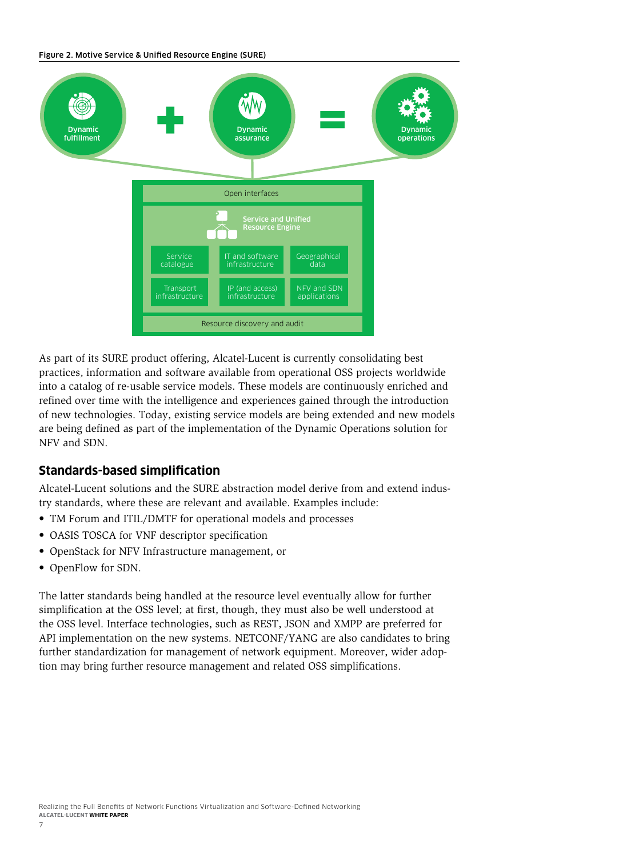<span id="page-8-0"></span>Figure 2. Motive Service & Unified Resource Engine (SURE)



As part of its SURE product offering, Alcatel-Lucent is currently consolidating best practices, information and software available from operational OSS projects worldwide into a catalog of re-usable service models. These models are continuously enriched and refined over time with the intelligence and experiences gained through the introduction of new technologies. Today, existing service models are being extended and new models are being defined as part of the implementation of the Dynamic Operations solution for NFV and SDN.

#### **Standards-based simplification**

Alcatel-Lucent solutions and the SURE abstraction model derive from and extend industry standards, where these are relevant and available. Examples include:

- TM Forum and ITIL/DMTF for operational models and processes
- OASIS TOSCA for VNF descriptor specification
- OpenStack for NFV Infrastructure management, or
- OpenFlow for SDN.

The latter standards being handled at the resource level eventually allow for further simplification at the OSS level; at first, though, they must also be well understood at the OSS level. Interface technologies, such as REST, JSON and XMPP are preferred for API implementation on the new systems. NETCONF/YANG are also candidates to bring further standardization for management of network equipment. Moreover, wider adoption may bring further resource management and related OSS simplifications.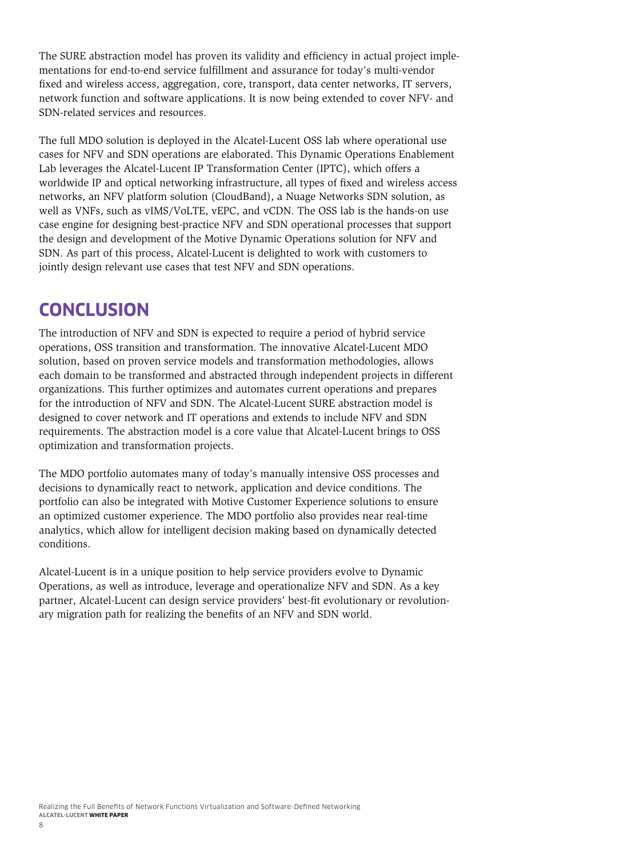<span id="page-9-0"></span>The SURE abstraction model has proven its validity and efficiency in actual project implementations for end-to-end service fulfillment and assurance for today's multi-vendor fixed and wireless access, aggregation, core, transport, data center networks, IT servers, network function and software applications. It is now being extended to cover NFV- and SDN-related services and resources.

The full MDO solution is deployed in the Alcatel-Lucent OSS lab where operational use cases for NFV and SDN operations are elaborated. This Dynamic Operations Enablement Lab leverages the Alcatel-Lucent IP Transformation Center (IPTC), which offers a worldwide IP and optical networking infrastructure, all types of fixed and wireless access networks, an NFV platform solution (CloudBand), a Nuage Networks SDN solution, as well as VNFs, such as vIMS/VoLTE, vEPC, and vCDN. The OSS lab is the hands-on use case engine for designing best-practice NFV and SDN operational processes that support the design and development of the Motive Dynamic Operations solution for NFV and SDN. As part of this process, Alcatel-Lucent is delighted to work with customers to jointly design relevant use cases that test NFV and SDN operations.

### **CONCLUSION**

The introduction of NFV and SDN is expected to require a period of hybrid service operations, OSS transition and transformation. The innovative Alcatel-Lucent MDO solution, based on proven service models and transformation methodologies, allows each domain to be transformed and abstracted through independent projects in different organizations. This further optimizes and automates current operations and prepares for the introduction of NFV and SDN. The Alcatel-Lucent SURE abstraction model is designed to cover network and IT operations and extends to include NFV and SDN requirements. The abstraction model is a core value that Alcatel-Lucent brings to OSS optimization and transformation projects.

The MDO portfolio automates many of today's manually intensive OSS processes and decisions to dynamically react to network, application and device conditions. The portfolio can also be integrated with Motive Customer Experience solutions to ensure an optimized customer experience. The MDO portfolio also provides near real-time analytics, which allow for intelligent decision making based on dynamically detected conditions.

Alcatel-Lucent is in a unique position to help service providers evolve to Dynamic Operations, as well as introduce, leverage and operationalize NFV and SDN. As a key partner, Alcatel-Lucent can design service providers' best-fit evolutionary or revolutionary migration path for realizing the benefits of an NFV and SDN world.